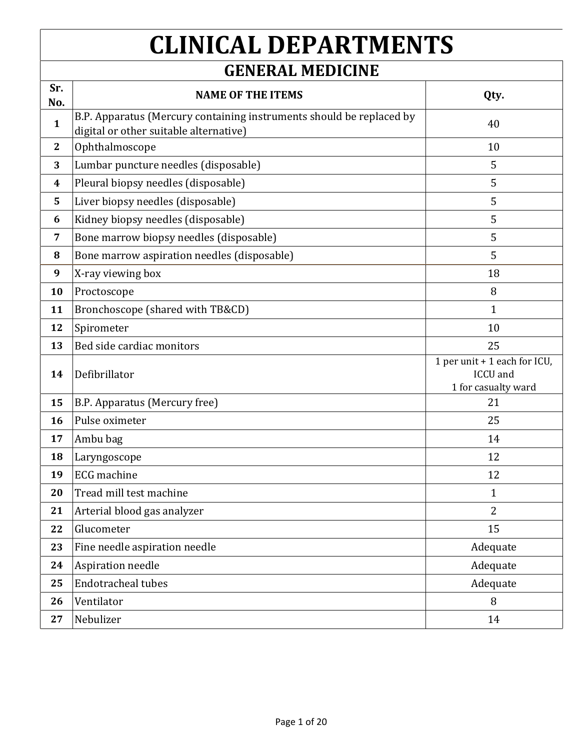## **CLINICAL DEPARTMENTS**

## **GENERAL MEDICINE**

| Sr.<br>No.       | <b>NAME OF THE ITEMS</b>                                                                                       | Qty.                                                            |
|------------------|----------------------------------------------------------------------------------------------------------------|-----------------------------------------------------------------|
| $\mathbf{1}$     | B.P. Apparatus (Mercury containing instruments should be replaced by<br>digital or other suitable alternative) | 40                                                              |
| $\mathbf{2}$     | Ophthalmoscope                                                                                                 | 10                                                              |
| 3                | Lumbar puncture needles (disposable)                                                                           | 5                                                               |
| $\boldsymbol{4}$ | Pleural biopsy needles (disposable)                                                                            | 5                                                               |
| 5                | Liver biopsy needles (disposable)                                                                              | 5                                                               |
| 6                | Kidney biopsy needles (disposable)                                                                             | 5                                                               |
| 7                | Bone marrow biopsy needles (disposable)                                                                        | 5                                                               |
| 8                | Bone marrow aspiration needles (disposable)                                                                    | 5                                                               |
| 9                | X-ray viewing box                                                                                              | 18                                                              |
| 10               | Proctoscope                                                                                                    | 8                                                               |
| 11               | Bronchoscope (shared with TB&CD)                                                                               | $\mathbf{1}$                                                    |
| 12               | Spirometer                                                                                                     | 10                                                              |
| 13               | Bed side cardiac monitors                                                                                      | 25                                                              |
| 14               | Defibrillator                                                                                                  | 1 per unit + 1 each for ICU,<br>ICCU and<br>1 for casualty ward |
| 15               | B.P. Apparatus (Mercury free)                                                                                  | 21                                                              |
| 16               | Pulse oximeter                                                                                                 | 25                                                              |
| 17               | Ambu bag                                                                                                       | 14                                                              |
| 18               | Laryngoscope                                                                                                   | 12                                                              |
| 19               | <b>ECG</b> machine                                                                                             | 12                                                              |
| 20               | Tread mill test machine                                                                                        | $\mathbf{1}$                                                    |
| 21               | Arterial blood gas analyzer                                                                                    | $\overline{2}$                                                  |
| 22               | Glucometer                                                                                                     | 15                                                              |
| 23               | Fine needle aspiration needle                                                                                  | Adequate                                                        |
| 24               | Aspiration needle                                                                                              | Adequate                                                        |
| 25               | <b>Endotracheal tubes</b>                                                                                      | Adequate                                                        |
| 26               | Ventilator                                                                                                     | 8                                                               |
| 27               | Nebulizer                                                                                                      | 14                                                              |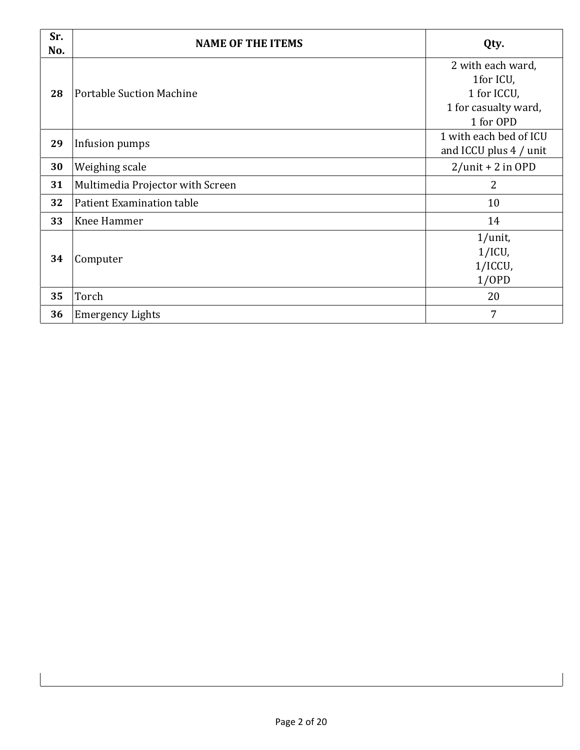| Sr.<br>No. | <b>NAME OF THE ITEMS</b>         | Qty.                                                                               |
|------------|----------------------------------|------------------------------------------------------------------------------------|
| 28         | <b>Portable Suction Machine</b>  | 2 with each ward,<br>1for ICU,<br>1 for ICCU,<br>1 for casualty ward,<br>1 for OPD |
| 29         | Infusion pumps                   | 1 with each bed of ICU<br>and ICCU plus 4 / unit                                   |
| 30         | Weighing scale                   | $2$ /unit + 2 in OPD                                                               |
| 31         | Multimedia Projector with Screen | $\overline{2}$                                                                     |
| 32         | Patient Examination table        | 10                                                                                 |
| 33         | Knee Hammer                      | 14                                                                                 |
| 34         | Computer                         | $1/$ unit,<br>$1/ICU$ ,<br>1/ICCU,<br>1/OPD                                        |
| 35         | Torch                            | 20                                                                                 |
| 36         | <b>Emergency Lights</b>          | 7                                                                                  |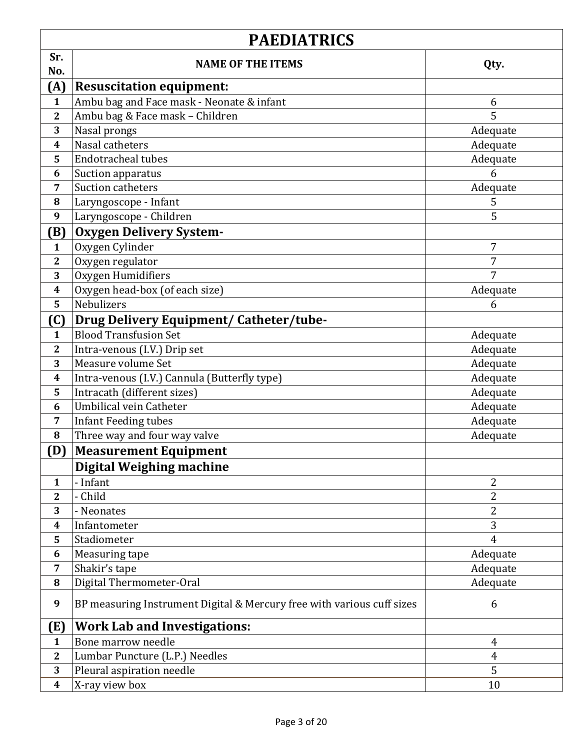|                  | <b>PAEDIATRICS</b>                                                     |                |
|------------------|------------------------------------------------------------------------|----------------|
| Sr.              | <b>NAME OF THE ITEMS</b>                                               | Qty.           |
| No.              |                                                                        |                |
| (A)              | <b>Resuscitation equipment:</b>                                        |                |
| $\mathbf{1}$     | Ambu bag and Face mask - Neonate & infant                              | 6              |
| $\mathbf{2}$     | Ambu bag & Face mask - Children                                        | 5              |
| 3                | Nasal prongs                                                           | Adequate       |
| 4                | Nasal catheters                                                        | Adequate       |
| 5                | <b>Endotracheal tubes</b>                                              | Adequate       |
| 6                | Suction apparatus                                                      | 6              |
| 7                | <b>Suction catheters</b>                                               | Adequate       |
| 8                | Laryngoscope - Infant                                                  | 5              |
| 9                | Laryngoscope - Children                                                | 5              |
| (B)              | <b>Oxygen Delivery System-</b>                                         |                |
| $\mathbf{1}$     | Oxygen Cylinder                                                        | 7              |
| 2                | Oxygen regulator                                                       | 7              |
| 3                | Oxygen Humidifiers                                                     | 7              |
| $\boldsymbol{4}$ | Oxygen head-box (of each size)                                         | Adequate       |
| 5                | Nebulizers                                                             | 6              |
| (C)              | <b>Drug Delivery Equipment/ Catheter/tube-</b>                         |                |
| $\mathbf{1}$     | <b>Blood Transfusion Set</b>                                           | Adequate       |
| $\mathbf{2}$     | Intra-venous (I.V.) Drip set                                           | Adequate       |
| 3                | Measure volume Set                                                     | Adequate       |
| $\boldsymbol{4}$ | Intra-venous (I.V.) Cannula (Butterfly type)                           | Adequate       |
| 5                | Intracath (different sizes)                                            | Adequate       |
| 6                | Umbilical vein Catheter                                                | Adequate       |
| 7                | <b>Infant Feeding tubes</b>                                            | Adequate       |
| 8                | Three way and four way valve                                           | Adequate       |
| (D)              | <b>Measurement Equipment</b>                                           |                |
|                  | <b>Digital Weighing machine</b>                                        |                |
| $\mathbf{1}$     | - Infant                                                               | $\overline{2}$ |
| $\mathbf{2}$     | - Child                                                                | 2              |
| 3                | - Neonates                                                             | $\overline{c}$ |
| $\boldsymbol{4}$ | Infantometer                                                           | 3              |
| 5                | Stadiometer                                                            | $\overline{4}$ |
| 6                | Measuring tape                                                         | Adequate       |
| 7                | Shakir's tape                                                          | Adequate       |
| 8                | Digital Thermometer-Oral                                               | Adequate       |
| 9                | BP measuring Instrument Digital & Mercury free with various cuff sizes | 6              |
| (E)              | <b>Work Lab and Investigations:</b>                                    |                |
| $\mathbf{1}$     | Bone marrow needle                                                     | $\overline{4}$ |
| $\mathbf{2}$     | Lumbar Puncture (L.P.) Needles                                         | $\overline{4}$ |
| 3                | Pleural aspiration needle                                              | 5              |
| $\boldsymbol{4}$ | X-ray view box                                                         | 10             |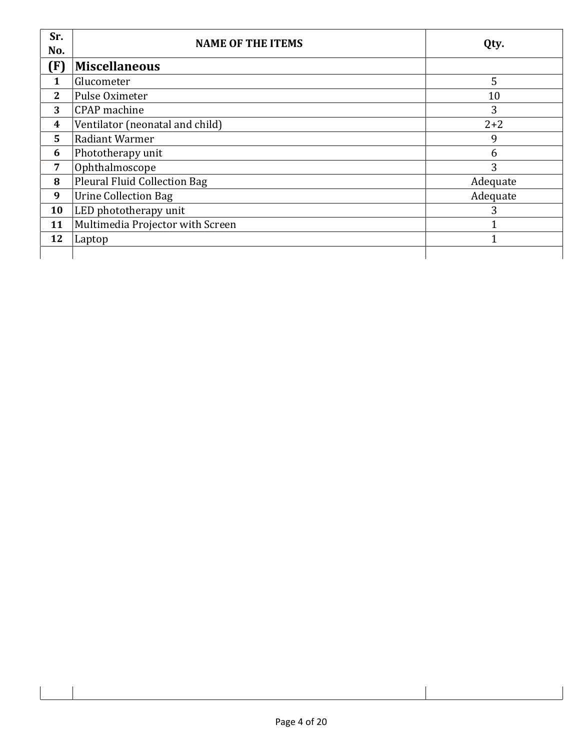| Sr.<br>No.     | <b>NAME OF THE ITEMS</b>            | Qty.     |
|----------------|-------------------------------------|----------|
| (F)            | <b>Miscellaneous</b>                |          |
| 1              | Glucometer                          | 5        |
| $\mathbf{2}$   | Pulse Oximeter                      | 10       |
| 3              | <b>CPAP</b> machine                 | 3        |
| 4              | Ventilator (neonatal and child)     | $2 + 2$  |
| 5              | Radiant Warmer                      | 9        |
| 6              | Phototherapy unit                   | 6        |
| $\overline{7}$ | Ophthalmoscope                      | 3        |
| 8              | <b>Pleural Fluid Collection Bag</b> | Adequate |
| 9              | <b>Urine Collection Bag</b>         | Adequate |
| 10             | LED phototherapy unit               | 3        |
| 11             | Multimedia Projector with Screen    |          |
| 12             | Laptop                              |          |
|                |                                     |          |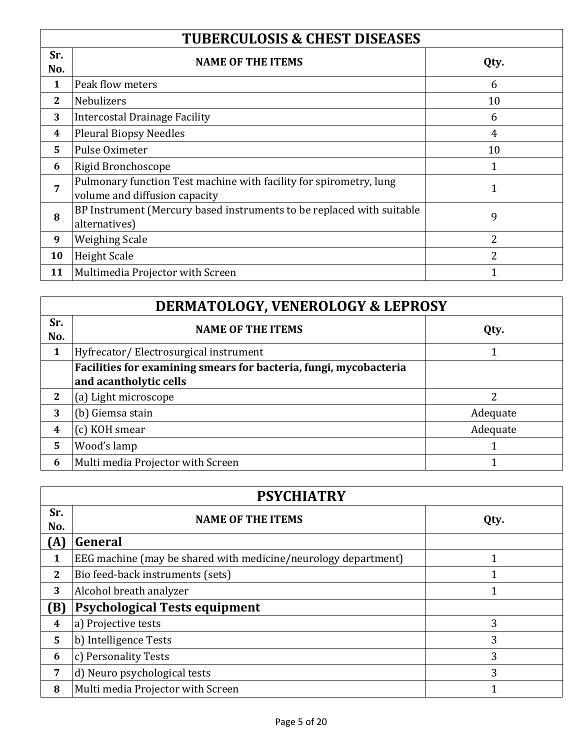| <b>TUBERCULOSIS &amp; CHEST DISEASES</b> |                                                                                                     |                |
|------------------------------------------|-----------------------------------------------------------------------------------------------------|----------------|
| Sr.<br>No.                               | <b>NAME OF THE ITEMS</b>                                                                            | Qty.           |
| 1                                        | Peak flow meters                                                                                    | 6              |
| $\overline{2}$                           | <b>Nebulizers</b>                                                                                   | 10             |
| 3                                        | Intercostal Drainage Facility                                                                       | 6              |
| $\boldsymbol{4}$                         | <b>Pleural Biopsy Needles</b>                                                                       | $\overline{4}$ |
| 5                                        | Pulse Oximeter                                                                                      | 10             |
| 6                                        | Rigid Bronchoscope                                                                                  |                |
| 7                                        | Pulmonary function Test machine with facility for spirometry, lung<br>volume and diffusion capacity | 1              |
| 8                                        | BP Instrument (Mercury based instruments to be replaced with suitable<br>alternatives)              | 9              |
| 9                                        | <b>Weighing Scale</b>                                                                               | 2              |
| 10                                       | <b>Height Scale</b>                                                                                 | $\overline{2}$ |
| 11                                       | Multimedia Projector with Screen                                                                    |                |

| <b>DERMATOLOGY, VENEROLOGY &amp; LEPROSY</b> |                                                                   |          |
|----------------------------------------------|-------------------------------------------------------------------|----------|
| Sr.<br>No.                                   | <b>NAME OF THE ITEMS</b>                                          | Qty.     |
| 1                                            | Hyfrecator/Electrosurgical instrument                             |          |
|                                              | Facilities for examining smears for bacteria, fungi, mycobacteria |          |
|                                              | and acantholytic cells                                            |          |
| 2                                            | (a) Light microscope                                              | 2        |
| 3                                            | (b) Giemsa stain                                                  | Adequate |
| 4                                            | (c) KOH smear                                                     | Adequate |
| 5                                            | Wood's lamp                                                       |          |
| 6                                            | Multi media Projector with Screen                                 |          |

| <b>PSYCHIATRY</b> |                                                                |      |
|-------------------|----------------------------------------------------------------|------|
| Sr.<br>No.        | <b>NAME OF THE ITEMS</b>                                       | Qty. |
| (A)               | General                                                        |      |
| 1                 | EEG machine (may be shared with medicine/neurology department) |      |
| $\mathbf{2}$      | Bio feed-back instruments (sets)                               | ◀    |
| 3                 | Alcohol breath analyzer                                        |      |
| (B)               | <b>Psychological Tests equipment</b>                           |      |
| 4                 | a) Projective tests                                            | 3    |
| 5                 | b) Intelligence Tests                                          | 3    |
| 6                 | c) Personality Tests                                           | 3    |
| 7                 | d) Neuro psychological tests                                   | 3    |
| 8                 | Multi media Projector with Screen                              |      |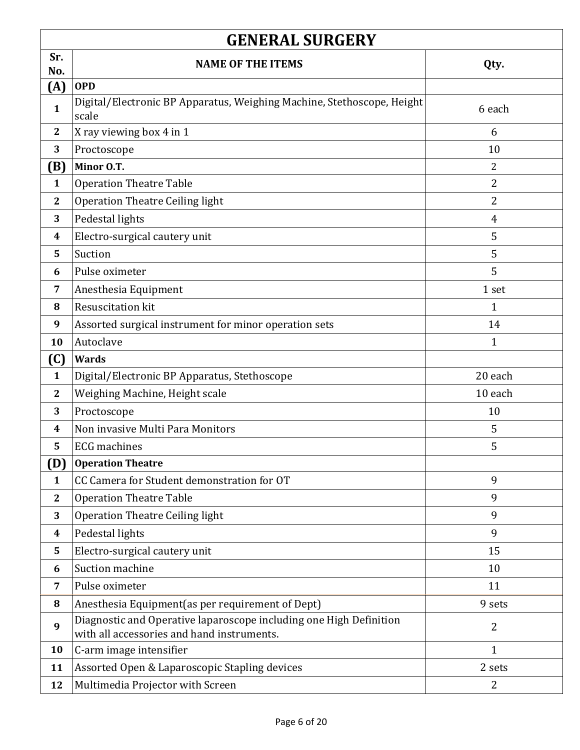| <b>GENERAL SURGERY</b> |                                                                                                                  |              |
|------------------------|------------------------------------------------------------------------------------------------------------------|--------------|
| Sr.                    | <b>NAME OF THE ITEMS</b>                                                                                         | Qty.         |
| No.<br>(A)             | <b>OPD</b>                                                                                                       |              |
| $\mathbf{1}$           | Digital/Electronic BP Apparatus, Weighing Machine, Stethoscope, Height<br>scale                                  | 6 each       |
| $\mathbf{2}$           | X ray viewing box 4 in 1                                                                                         | 6            |
| 3                      | Proctoscope                                                                                                      | 10           |
| (B)                    | Minor O.T.                                                                                                       | 2            |
| $\mathbf{1}$           | <b>Operation Theatre Table</b>                                                                                   | 2            |
| $\mathbf{2}$           | <b>Operation Theatre Ceiling light</b>                                                                           | 2            |
| 3                      | Pedestal lights                                                                                                  | 4            |
| 4                      | Electro-surgical cautery unit                                                                                    | 5            |
| 5                      | Suction                                                                                                          | 5            |
| 6                      | Pulse oximeter                                                                                                   | 5            |
| 7                      | Anesthesia Equipment                                                                                             | 1 set        |
| 8                      | Resuscitation kit                                                                                                | 1            |
| 9                      | Assorted surgical instrument for minor operation sets                                                            | 14           |
| 10                     | Autoclave                                                                                                        | 1            |
| <b>(C)</b>             | Wards                                                                                                            |              |
| $\mathbf{1}$           | Digital/Electronic BP Apparatus, Stethoscope                                                                     | 20 each      |
| $\mathbf{2}$           | Weighing Machine, Height scale                                                                                   | 10 each      |
| 3                      | Proctoscope                                                                                                      | 10           |
| 4                      | Non invasive Multi Para Monitors                                                                                 | 5            |
| 5                      | <b>ECG</b> machines                                                                                              | 5            |
| (D)                    | <b>Operation Theatre</b>                                                                                         |              |
| $\mathbf{1}$           | CC Camera for Student demonstration for OT                                                                       | 9            |
| $\mathbf{2}$           | <b>Operation Theatre Table</b>                                                                                   | 9            |
| 3                      | <b>Operation Theatre Ceiling light</b>                                                                           | 9            |
| $\boldsymbol{4}$       | Pedestal lights                                                                                                  | 9            |
| 5                      | Electro-surgical cautery unit                                                                                    | 15           |
| 6                      | Suction machine                                                                                                  | 10           |
| 7                      | Pulse oximeter                                                                                                   | 11           |
| 8                      | Anesthesia Equipment(as per requirement of Dept)                                                                 | 9 sets       |
| 9                      | Diagnostic and Operative laparoscope including one High Definition<br>with all accessories and hand instruments. | 2            |
| 10                     | C-arm image intensifier                                                                                          | $\mathbf{1}$ |
| 11                     | Assorted Open & Laparoscopic Stapling devices                                                                    | 2 sets       |
| 12                     | Multimedia Projector with Screen                                                                                 | 2            |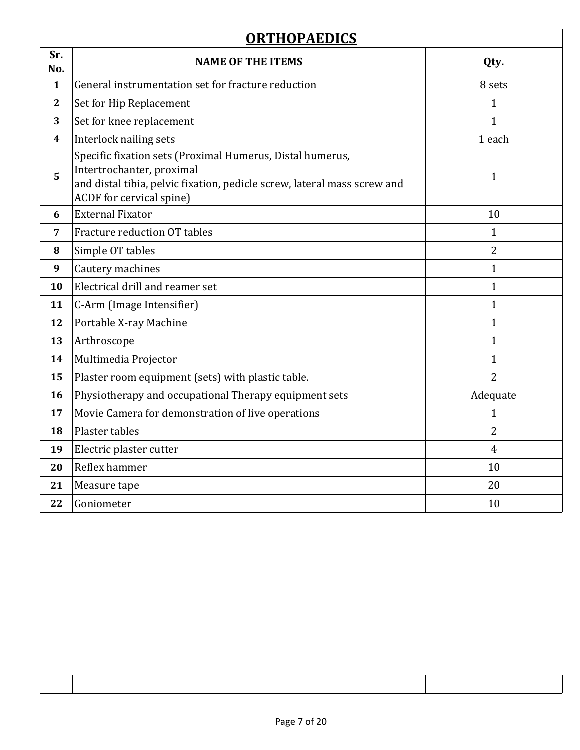| <b>ORTHOPAEDICS</b>     |                                                                                                                                                                                                |                |
|-------------------------|------------------------------------------------------------------------------------------------------------------------------------------------------------------------------------------------|----------------|
| Sr.<br>No.              | <b>NAME OF THE ITEMS</b>                                                                                                                                                                       | Qty.           |
| $\mathbf{1}$            | General instrumentation set for fracture reduction                                                                                                                                             | 8 sets         |
| $\mathbf{2}$            | Set for Hip Replacement                                                                                                                                                                        | $\mathbf{1}$   |
| 3                       | Set for knee replacement                                                                                                                                                                       | $\mathbf{1}$   |
| $\overline{\mathbf{4}}$ | Interlock nailing sets                                                                                                                                                                         | 1 each         |
| 5                       | Specific fixation sets (Proximal Humerus, Distal humerus,<br>Intertrochanter, proximal<br>and distal tibia, pelvic fixation, pedicle screw, lateral mass screw and<br>ACDF for cervical spine) | 1              |
| 6                       | <b>External Fixator</b>                                                                                                                                                                        | 10             |
| 7                       | Fracture reduction OT tables                                                                                                                                                                   | $\mathbf{1}$   |
| 8                       | Simple OT tables                                                                                                                                                                               | $\overline{2}$ |
| 9                       | Cautery machines                                                                                                                                                                               | $\mathbf{1}$   |
| 10                      | Electrical drill and reamer set                                                                                                                                                                | $\mathbf{1}$   |
| 11                      | C-Arm (Image Intensifier)                                                                                                                                                                      | $\mathbf{1}$   |
| 12                      | Portable X-ray Machine                                                                                                                                                                         | $\mathbf{1}$   |
| 13                      | Arthroscope                                                                                                                                                                                    | $\mathbf{1}$   |
| 14                      | Multimedia Projector                                                                                                                                                                           | $\mathbf{1}$   |
| 15                      | Plaster room equipment (sets) with plastic table.                                                                                                                                              | $\overline{2}$ |
| 16                      | Physiotherapy and occupational Therapy equipment sets                                                                                                                                          | Adequate       |
| 17                      | Movie Camera for demonstration of live operations                                                                                                                                              | $\mathbf{1}$   |
| 18                      | Plaster tables                                                                                                                                                                                 | 2              |
| 19                      | Electric plaster cutter                                                                                                                                                                        | $\overline{4}$ |
| 20                      | Reflex hammer                                                                                                                                                                                  | 10             |
| 21                      | Measure tape                                                                                                                                                                                   | 20             |
| 22                      | Goniometer                                                                                                                                                                                     | 10             |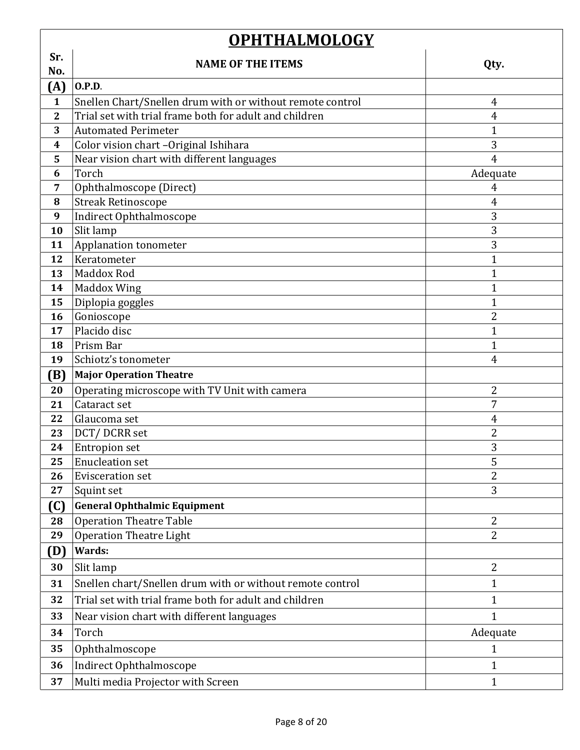| <b>OPHTHALMOLOGY</b>    |                                                           |                     |
|-------------------------|-----------------------------------------------------------|---------------------|
| Sr.                     | <b>NAME OF THE ITEMS</b>                                  | Qty.                |
| No.                     |                                                           |                     |
| (A)                     | 0.P.D.                                                    |                     |
| $\mathbf{1}$            | Snellen Chart/Snellen drum with or without remote control | $\overline{4}$      |
| $\overline{\mathbf{2}}$ | Trial set with trial frame both for adult and children    | 4                   |
| 3                       | <b>Automated Perimeter</b>                                | 1                   |
| 4                       | Color vision chart -Original Ishihara                     | 3<br>$\overline{4}$ |
| 5<br>6                  | Near vision chart with different languages<br>Torch       | Adequate            |
| 7                       | Ophthalmoscope (Direct)                                   | 4                   |
| 8                       | <b>Streak Retinoscope</b>                                 | 4                   |
| 9                       | Indirect Ophthalmoscope                                   | 3                   |
| 10                      | Slit lamp                                                 | 3                   |
| 11                      | Applanation tonometer                                     | 3                   |
| 12                      | Keratometer                                               | 1                   |
| 13                      | <b>Maddox Rod</b>                                         | 1                   |
| 14                      | <b>Maddox Wing</b>                                        | 1                   |
| 15                      | Diplopia goggles                                          | $\mathbf{1}$        |
| 16                      | Gonioscope                                                | $\overline{2}$      |
| 17                      | Placido disc                                              | 1                   |
| 18                      | Prism Bar                                                 | 1                   |
| 19                      | Schiotz's tonometer                                       | $\overline{4}$      |
| (B)                     | <b>Major Operation Theatre</b>                            |                     |
| 20                      | Operating microscope with TV Unit with camera             | $\overline{2}$      |
| 21                      | Cataract set                                              | 7                   |
| 22                      | Glaucoma set                                              | 4                   |
| 23                      | DCT/DCRR set                                              | 2                   |
| 24                      | <b>Entropion set</b>                                      | 3                   |
| 25                      | <b>Enucleation set</b>                                    | 5                   |
| 26                      | <b>Evisceration set</b>                                   | $\overline{2}$      |
| 27                      | Squint set                                                | 3                   |
| (C)                     | <b>General Ophthalmic Equipment</b>                       |                     |
| 28                      | <b>Operation Theatre Table</b>                            | $\overline{2}$      |
| 29                      | <b>Operation Theatre Light</b>                            | $\overline{2}$      |
| (D)                     | Wards:                                                    |                     |
| 30                      | Slit lamp                                                 | $\overline{2}$      |
| 31                      | Snellen chart/Snellen drum with or without remote control | $\mathbf{1}$        |
| 32                      | Trial set with trial frame both for adult and children    | $\mathbf{1}$        |
| 33                      | Near vision chart with different languages                | $\mathbf{1}$        |
| 34                      | Torch                                                     | Adequate            |
| 35                      | Ophthalmoscope                                            | 1                   |
| 36                      | Indirect Ophthalmoscope                                   | $\mathbf{1}$        |
| 37                      | Multi media Projector with Screen                         | $\mathbf{1}$        |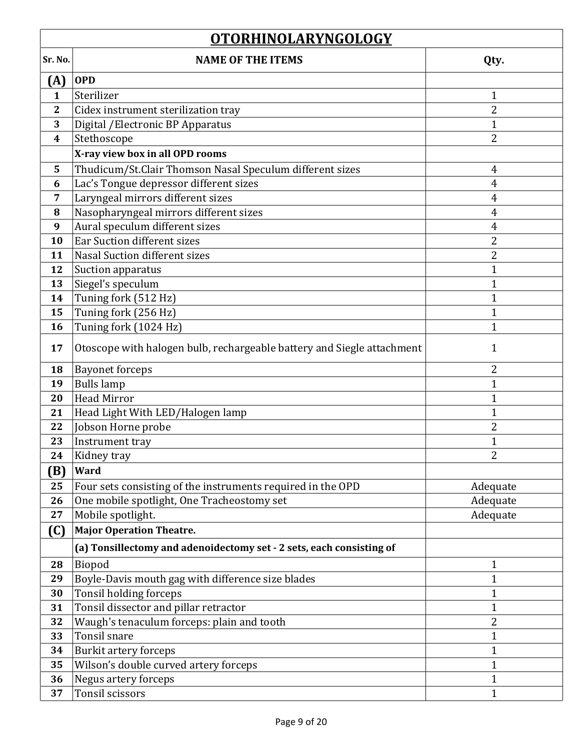| <b>OTORHINOLARYNGOLOGY</b> |                                                                        |                |
|----------------------------|------------------------------------------------------------------------|----------------|
| Sr. No.                    | <b>NAME OF THE ITEMS</b>                                               | Qty.           |
| (A)                        | <b>OPD</b>                                                             |                |
| $\mathbf{1}$               | Sterilizer                                                             | 1              |
| $\mathbf{2}$               | Cidex instrument sterilization tray                                    | $\overline{2}$ |
| 3                          | Digital / Electronic BP Apparatus                                      | 1              |
| 4                          | Stethoscope                                                            | $\overline{2}$ |
|                            | X-ray view box in all OPD rooms                                        |                |
| 5                          | Thudicum/St.Clair Thomson Nasal Speculum different sizes               | $\overline{4}$ |
| 6                          | Lac's Tongue depressor different sizes                                 | 4              |
| 7                          | Laryngeal mirrors different sizes                                      | 4              |
| 8                          | Nasopharyngeal mirrors different sizes                                 | 4              |
| 9                          | Aural speculum different sizes                                         | 4              |
| 10                         | Ear Suction different sizes                                            | 2              |
| 11                         | <b>Nasal Suction different sizes</b>                                   | $\overline{2}$ |
| 12                         | Suction apparatus                                                      | $\overline{1}$ |
| 13                         | Siegel's speculum                                                      | 1              |
| 14                         | Tuning fork (512 Hz)                                                   | 1              |
| 15                         | Tuning fork (256 Hz)                                                   | 1              |
| 16                         | Tuning fork (1024 Hz)                                                  | 1              |
| 17                         | Otoscope with halogen bulb, rechargeable battery and Siegle attachment | 1              |
| 18                         | <b>Bayonet forceps</b>                                                 | 2              |
| 19                         | <b>Bulls</b> lamp                                                      | 1              |
| 20                         | <b>Head Mirror</b>                                                     | 1              |
| 21                         | Head Light With LED/Halogen lamp                                       | 1              |
| 22                         | Jobson Horne probe                                                     | 2              |
| 23                         | Instrument tray                                                        | 1              |
| 24                         | Kidney tray                                                            |                |
| (B)                        | Ward                                                                   |                |
| 25                         | Four sets consisting of the instruments required in the OPD            | Adequate       |
| 26                         | One mobile spotlight, One Tracheostomy set                             | Adequate       |
| 27                         | Mobile spotlight.                                                      | Adequate       |
| (C)                        | <b>Major Operation Theatre.</b>                                        |                |
|                            | (a) Tonsillectomy and adenoidectomy set - 2 sets, each consisting of   |                |
| 28                         | Biopod                                                                 | 1              |
| 29                         | Boyle-Davis mouth gag with difference size blades                      | $\mathbf{1}$   |
| 30                         | Tonsil holding forceps                                                 | 1              |
| 31                         | Tonsil dissector and pillar retractor                                  | 1              |
| 32                         | Waugh's tenaculum forceps: plain and tooth                             | $\overline{2}$ |
| 33                         | Tonsil snare                                                           | 1              |
| 34                         | <b>Burkit artery forceps</b>                                           | 1              |
| 35                         | Wilson's double curved artery forceps                                  | 1              |
| 36                         | Negus artery forceps                                                   | 1              |
| 37                         | Tonsil scissors                                                        | $\mathbf{1}$   |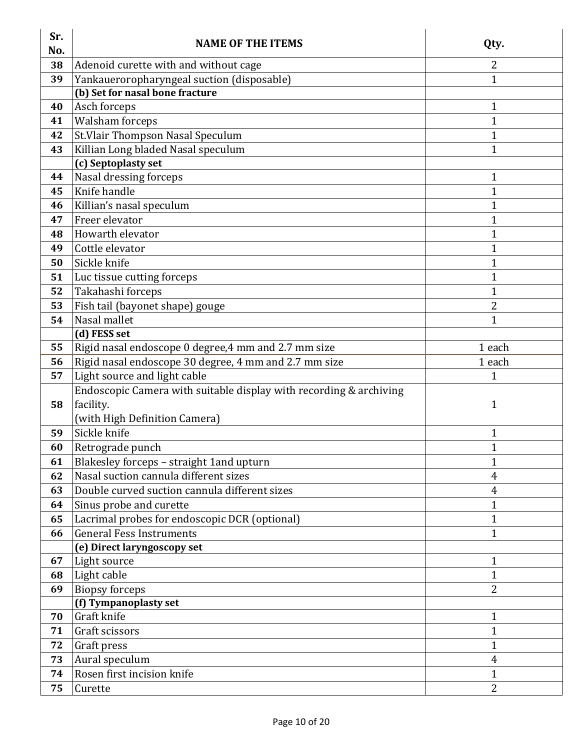| Sr.<br>No. | <b>NAME OF THE ITEMS</b>                                           | Qty.           |
|------------|--------------------------------------------------------------------|----------------|
| 38         | Adenoid curette with and without cage                              | 2              |
| 39         | Yankaueroropharyngeal suction (disposable)                         | 1              |
|            | (b) Set for nasal bone fracture                                    |                |
| 40         | Asch forceps                                                       | $\mathbf 1$    |
| 41         | <b>Walsham forceps</b>                                             | $\mathbf{1}$   |
| 42         | St. Vlair Thompson Nasal Speculum                                  | $\mathbf{1}$   |
| 43         | Killian Long bladed Nasal speculum                                 | $\mathbf{1}$   |
|            | (c) Septoplasty set                                                |                |
| 44         | Nasal dressing forceps                                             | $\mathbf{1}$   |
| 45         | Knife handle                                                       | $\mathbf 1$    |
| 46         | Killian's nasal speculum                                           | $\mathbf{1}$   |
| 47         | Freer elevator                                                     | 1              |
| 48         | Howarth elevator                                                   | $\mathbf{1}$   |
| 49         | Cottle elevator                                                    | $\mathbf{1}$   |
| 50         | Sickle knife                                                       | $\mathbf{1}$   |
| 51         | Luc tissue cutting forceps                                         | $\mathbf{1}$   |
| 52         | Takahashi forceps                                                  | $\mathbf{1}$   |
| 53         | Fish tail (bayonet shape) gouge                                    | 2              |
| 54         | Nasal mallet                                                       | $\mathbf{1}$   |
|            | (d) FESS set                                                       |                |
| 55         | Rigid nasal endoscope 0 degree, 4 mm and 2.7 mm size               | 1 each         |
| 56         | Rigid nasal endoscope 30 degree, 4 mm and 2.7 mm size              | 1 each         |
| 57         | Light source and light cable                                       | $\mathbf{1}$   |
|            | Endoscopic Camera with suitable display with recording & archiving |                |
| 58         | facility.                                                          | 1              |
|            | (with High Definition Camera)                                      |                |
| 59         | Sickle knife                                                       | $\mathbf{1}$   |
| 60         | Retrograde punch                                                   | $\mathbf{1}$   |
| 61         | Blakesley forceps - straight 1 and upturn                          | $\mathbf{1}$   |
| 62         | Nasal suction cannula different sizes                              | $\overline{4}$ |
| 63         | Double curved suction cannula different sizes                      | $\overline{4}$ |
| 64         | Sinus probe and curette                                            | 1              |
| 65         | Lacrimal probes for endoscopic DCR (optional)                      | $\mathbf{1}$   |
| 66         | <b>General Fess Instruments</b>                                    | $\mathbf 1$    |
|            | (e) Direct laryngoscopy set                                        |                |
| 67         | Light source                                                       | 1              |
| 68         | Light cable                                                        | $\mathbf{1}$   |
| 69         | <b>Biopsy forceps</b>                                              | 2              |
|            | (f) Tympanoplasty set                                              |                |
| 70         | Graft knife                                                        | $\mathbf{1}$   |
| 71         | Graft scissors                                                     | $\mathbf{1}$   |
| 72         | Graft press                                                        | $\mathbf{1}$   |
| 73         | Aural speculum                                                     | 4              |
| 74         | Rosen first incision knife                                         | 1              |
| 75         | Curette                                                            | $\overline{2}$ |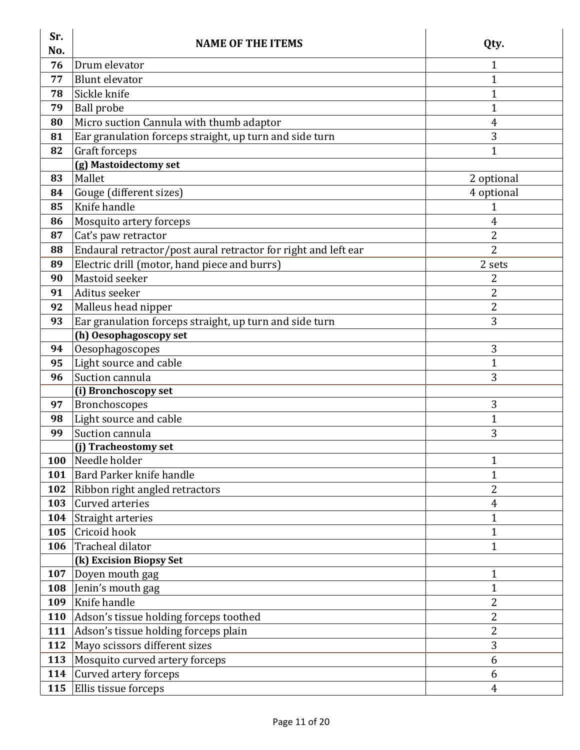| Sr.<br>No. | <b>NAME OF THE ITEMS</b>                                       | Qty.                         |
|------------|----------------------------------------------------------------|------------------------------|
| 76         | Drum elevator                                                  | 1                            |
| 77         | <b>Blunt</b> elevator                                          | $\mathbf{1}$                 |
| 78         | Sickle knife                                                   | 1                            |
| 79         | <b>Ball</b> probe                                              | 1                            |
| 80         | Micro suction Cannula with thumb adaptor                       | 4                            |
| 81         | Ear granulation forceps straight, up turn and side turn        | 3                            |
| 82         | Graft forceps                                                  | $\mathbf{1}$                 |
|            | (g) Mastoidectomy set                                          |                              |
| 83         | Mallet                                                         | 2 optional                   |
| 84         | Gouge (different sizes)                                        | 4 optional                   |
| 85         | Knife handle                                                   | $\mathbf{1}$                 |
| 86         | Mosquito artery forceps                                        | 4                            |
| 87         | Cat's paw retractor                                            | $\overline{2}$               |
| 88         | Endaural retractor/post aural retractor for right and left ear | $\overline{2}$               |
| 89         | Electric drill (motor, hand piece and burrs)                   | 2 sets                       |
| 90         | Mastoid seeker                                                 | 2                            |
| 91         | Aditus seeker                                                  | 2                            |
| 92         | Malleus head nipper                                            | $\overline{c}$               |
| 93         | Ear granulation forceps straight, up turn and side turn        | 3                            |
|            | (h) Oesophagoscopy set                                         |                              |
| 94         | Oesophagoscopes                                                | 3                            |
| 95         | Light source and cable                                         | $\mathbf{1}$                 |
| 96         | Suction cannula                                                | 3                            |
|            | (i) Bronchoscopy set                                           |                              |
| 97         | Bronchoscopes                                                  | 3                            |
| 98         | Light source and cable                                         | 1                            |
| 99         | Suction cannula                                                | 3                            |
|            | (j) Tracheostomy set<br>Needle holder                          |                              |
| <b>100</b> | Bard Parker knife handle                                       | 1                            |
| 101        |                                                                | 1<br>2                       |
| 102        | Ribbon right angled retractors<br>Curved arteries              |                              |
| 103        |                                                                | 4                            |
| 104<br>105 | <b>Straight arteries</b><br>Cricoid hook                       | $\mathbf{1}$<br>$\mathbf{1}$ |
| 106        | Tracheal dilator                                               | $\mathbf{1}$                 |
|            | (k) Excision Biopsy Set                                        |                              |
| 107        | Doyen mouth gag                                                | 1                            |
| 108        | Jenin's mouth gag                                              | $\mathbf{1}$                 |
| 109        | Knife handle                                                   | 2                            |
| <b>110</b> | Adson's tissue holding forceps toothed                         | 2                            |
| 111        | Adson's tissue holding forceps plain                           | 2                            |
| 112        | Mayo scissors different sizes                                  | 3                            |
| 113        | Mosquito curved artery forceps                                 | 6                            |
| 114        | Curved artery forceps                                          | 6                            |
| 115        | Ellis tissue forceps                                           | 4                            |
|            |                                                                |                              |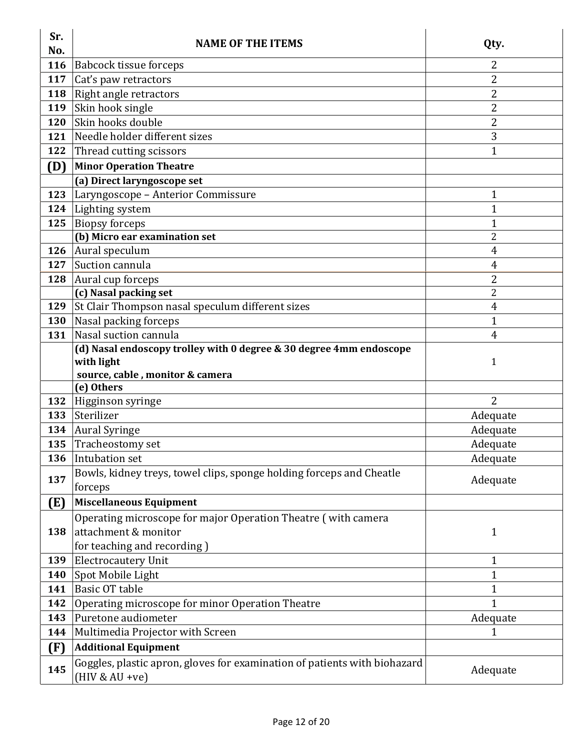| Sr.<br>No. | <b>NAME OF THE ITEMS</b>                                                                      | Qty.                 |
|------------|-----------------------------------------------------------------------------------------------|----------------------|
| 116        | <b>Babcock tissue forceps</b>                                                                 | 2                    |
| 117        | Cat's paw retractors                                                                          | 2                    |
| 118        | Right angle retractors                                                                        | 2                    |
| 119        | Skin hook single                                                                              | 2                    |
| 120        | Skin hooks double                                                                             | $\overline{2}$       |
| 121        | Needle holder different sizes                                                                 | 3                    |
| 122        | Thread cutting scissors                                                                       | $\mathbf 1$          |
| (D)        | <b>Minor Operation Theatre</b>                                                                |                      |
|            | (a) Direct laryngoscope set                                                                   |                      |
| 123        | Laryngoscope - Anterior Commissure                                                            | 1                    |
| 124        | Lighting system                                                                               | $\mathbf 1$          |
| 125        | <b>Biopsy forceps</b>                                                                         | $\mathbf{1}$         |
|            | (b) Micro ear examination set                                                                 | 2                    |
| 126        | Aural speculum                                                                                | 4                    |
| 127        | Suction cannula                                                                               | 4                    |
| 128        | Aural cup forceps                                                                             | 2                    |
|            | (c) Nasal packing set                                                                         | $\overline{2}$       |
| 129        | St Clair Thompson nasal speculum different sizes                                              | 4                    |
| <b>130</b> | Nasal packing forceps                                                                         | $\mathbf{1}$         |
| 131        | Nasal suction cannula                                                                         | 4                    |
|            | (d) Nasal endoscopy trolley with 0 degree & 30 degree 4mm endoscope                           |                      |
|            | with light                                                                                    | 1                    |
|            | source, cable, monitor & camera                                                               |                      |
| 132        | (e) Others                                                                                    | 2                    |
| 133        | Higginson syringe<br>Sterilizer                                                               | Adequate             |
| 134        |                                                                                               |                      |
| 135        | <b>Aural Syringe</b>                                                                          | Adequate<br>Adequate |
|            | Tracheostomy set                                                                              |                      |
| 136        | Intubation set                                                                                | Adequate             |
| 137        | Bowls, kidney treys, towel clips, sponge holding forceps and Cheatle                          | Adequate             |
|            | forceps                                                                                       |                      |
| (E)        | <b>Miscellaneous Equipment</b>                                                                |                      |
|            | Operating microscope for major Operation Theatre (with camera                                 |                      |
| 138        | attachment & monitor                                                                          | 1                    |
|            | for teaching and recording)                                                                   |                      |
| 139        | <b>Electrocautery Unit</b>                                                                    | 1                    |
| <b>140</b> | Spot Mobile Light                                                                             | $\mathbf{1}$         |
| 141        | <b>Basic OT table</b>                                                                         | $\mathbf 1$          |
| 142        | Operating microscope for minor Operation Theatre                                              | $\mathbf{1}$         |
| 143        | Puretone audiometer                                                                           | Adequate             |
| 144        | Multimedia Projector with Screen                                                              | 1                    |
| (F)        | <b>Additional Equipment</b>                                                                   |                      |
| 145        | Goggles, plastic apron, gloves for examination of patients with biohazard<br>$(HIV & AU +ve)$ | Adequate             |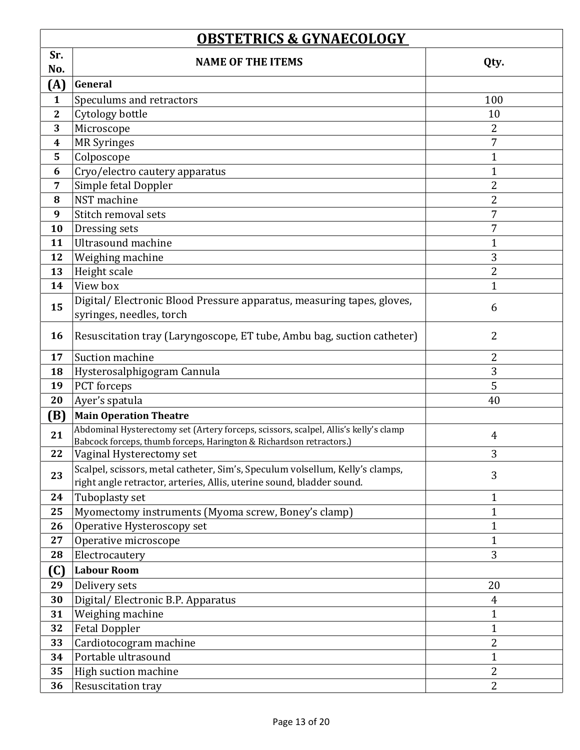|                              | <b>OBSTETRICS &amp; GYNAECOLOGY</b>                                                                                                                         |                      |  |
|------------------------------|-------------------------------------------------------------------------------------------------------------------------------------------------------------|----------------------|--|
| Sr.                          | <b>NAME OF THE ITEMS</b>                                                                                                                                    | Qty.                 |  |
| No.                          |                                                                                                                                                             |                      |  |
| (A)                          | General                                                                                                                                                     |                      |  |
| $\mathbf{1}$<br>$\mathbf{2}$ | Speculums and retractors                                                                                                                                    | 100                  |  |
| 3                            | Cytology bottle                                                                                                                                             | 10<br>$\overline{2}$ |  |
| $\boldsymbol{4}$             | Microscope<br><b>MR</b> Syringes                                                                                                                            | 7                    |  |
| 5                            | Colposcope                                                                                                                                                  | $\mathbf{1}$         |  |
| 6                            | Cryo/electro cautery apparatus                                                                                                                              | $\mathbf{1}$         |  |
| 7                            | Simple fetal Doppler                                                                                                                                        | $\overline{2}$       |  |
| 8                            | NST machine                                                                                                                                                 | 2                    |  |
| 9                            | Stitch removal sets                                                                                                                                         | 7                    |  |
| 10                           | Dressing sets                                                                                                                                               | 7                    |  |
| 11                           | <b>Ultrasound machine</b>                                                                                                                                   | $\mathbf{1}$         |  |
| 12                           | Weighing machine                                                                                                                                            | 3                    |  |
| 13                           | Height scale                                                                                                                                                | $\overline{2}$       |  |
| 14                           | View box                                                                                                                                                    | $\mathbf 1$          |  |
|                              | Digital/Electronic Blood Pressure apparatus, measuring tapes, gloves,                                                                                       |                      |  |
| 15                           | syringes, needles, torch                                                                                                                                    | 6                    |  |
| 16                           | Resuscitation tray (Laryngoscope, ET tube, Ambu bag, suction catheter)                                                                                      | $\overline{2}$       |  |
| 17                           | Suction machine                                                                                                                                             | 2                    |  |
| 18                           | Hysterosalphigogram Cannula                                                                                                                                 | 3                    |  |
| 19                           | PCT forceps                                                                                                                                                 | 5                    |  |
| 20                           | Ayer's spatula                                                                                                                                              | 40                   |  |
| (B)                          | <b>Main Operation Theatre</b>                                                                                                                               |                      |  |
| 21                           | Abdominal Hysterectomy set (Artery forceps, scissors, scalpel, Allis's kelly's clamp<br>Babcock forceps, thumb forceps, Harington & Richardson retractors.) | 4                    |  |
| 22                           | Vaginal Hysterectomy set                                                                                                                                    | 3                    |  |
| 23                           | Scalpel, scissors, metal catheter, Sim's, Speculum volsellum, Kelly's clamps,<br>right angle retractor, arteries, Allis, uterine sound, bladder sound.      | 3                    |  |
| 24                           | Tuboplasty set                                                                                                                                              | $\mathbf{1}$         |  |
| 25                           | Myomectomy instruments (Myoma screw, Boney's clamp)                                                                                                         | $\mathbf{1}$         |  |
| 26                           | Operative Hysteroscopy set                                                                                                                                  | $\mathbf{1}$         |  |
| 27                           | Operative microscope                                                                                                                                        | $\mathbf{1}$         |  |
| 28                           | Electrocautery                                                                                                                                              | 3                    |  |
| (C)                          | <b>Labour Room</b>                                                                                                                                          |                      |  |
| 29                           | Delivery sets                                                                                                                                               | 20                   |  |
| 30                           | Digital/Electronic B.P. Apparatus                                                                                                                           | 4                    |  |
| 31                           | Weighing machine                                                                                                                                            | $\mathbf{1}$         |  |
| 32                           | <b>Fetal Doppler</b>                                                                                                                                        | $\mathbf{1}$         |  |
| 33                           | Cardiotocogram machine                                                                                                                                      | $\overline{2}$       |  |
| 34                           | Portable ultrasound                                                                                                                                         | $\mathbf{1}$         |  |
| 35                           | High suction machine                                                                                                                                        | 2                    |  |
| 36                           | Resuscitation tray                                                                                                                                          | $\overline{2}$       |  |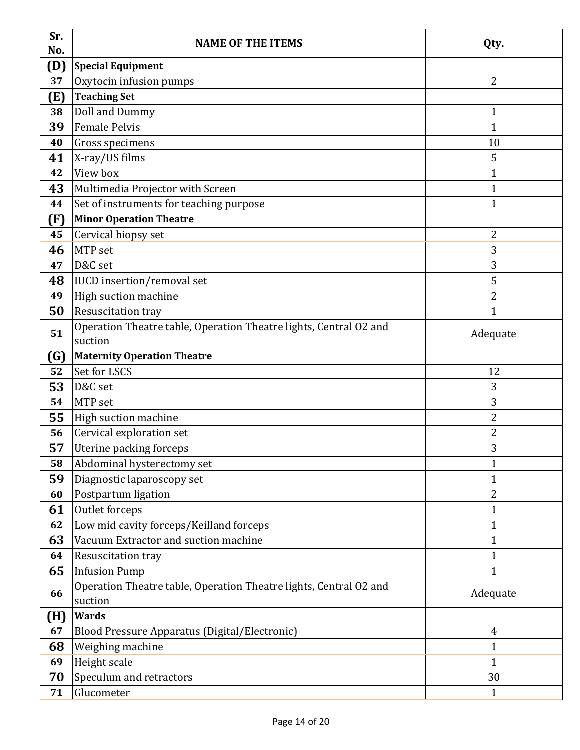| Sr.<br>No. | <b>NAME OF THE ITEMS</b>                                                     | Qty.           |
|------------|------------------------------------------------------------------------------|----------------|
| (D)        | <b>Special Equipment</b>                                                     |                |
| 37         | Oxytocin infusion pumps                                                      | 2              |
| (E)        | <b>Teaching Set</b>                                                          |                |
| 38         | Doll and Dummy                                                               | 1              |
| 39         | <b>Female Pelvis</b>                                                         | 1              |
| 40         | Gross specimens                                                              | 10             |
| 41         | X-ray/US films                                                               | 5              |
| 42         | View box                                                                     | 1              |
| 43         | Multimedia Projector with Screen                                             | $\mathbf{1}$   |
| 44         | Set of instruments for teaching purpose                                      | $\mathbf{1}$   |
| (F)        | <b>Minor Operation Theatre</b>                                               |                |
| 45         | Cervical biopsy set                                                          | 2              |
| 46         | MTP set                                                                      | 3              |
| 47         | D&C set                                                                      | 3              |
| 48         | <b>IUCD</b> insertion/removal set                                            | 5              |
| 49         | High suction machine                                                         | 2              |
| 50         | Resuscitation tray                                                           | $\mathbf 1$    |
| 51         | Operation Theatre table, Operation Theatre lights, Central O2 and            | Adequate       |
|            | suction                                                                      |                |
| (G)        | <b>Maternity Operation Theatre</b>                                           |                |
| 52         | Set for LSCS                                                                 | 12             |
| 53         | D&C set                                                                      | 3              |
| 54         | MTP set                                                                      | 3              |
| 55         | High suction machine                                                         | $\overline{2}$ |
| 56         | Cervical exploration set                                                     | 2              |
| 57         | Uterine packing forceps                                                      | 3              |
| 58         | Abdominal hysterectomy set                                                   | 1              |
| 59         | Diagnostic laparoscopy set                                                   | 1              |
| 60         | Postpartum ligation                                                          | 2              |
| 61         | Outlet forceps                                                               | 1              |
| 62         | Low mid cavity forceps/Keilland forceps                                      | 1              |
| 63         | Vacuum Extractor and suction machine                                         | $\mathbf 1$    |
| 64         | Resuscitation tray                                                           | $\mathbf{1}$   |
| 65         | <b>Infusion Pump</b>                                                         | $\mathbf{1}$   |
| 66         | Operation Theatre table, Operation Theatre lights, Central O2 and<br>suction | Adequate       |
| (H)        | <b>Wards</b>                                                                 |                |
| 67         | Blood Pressure Apparatus (Digital/Electronic)                                | 4              |
| 68         | Weighing machine                                                             | 1              |
| 69         | Height scale                                                                 | $\mathbf{1}$   |
| 70         | Speculum and retractors                                                      | 30             |
| 71         | Glucometer                                                                   | $\mathbf{1}$   |
|            |                                                                              |                |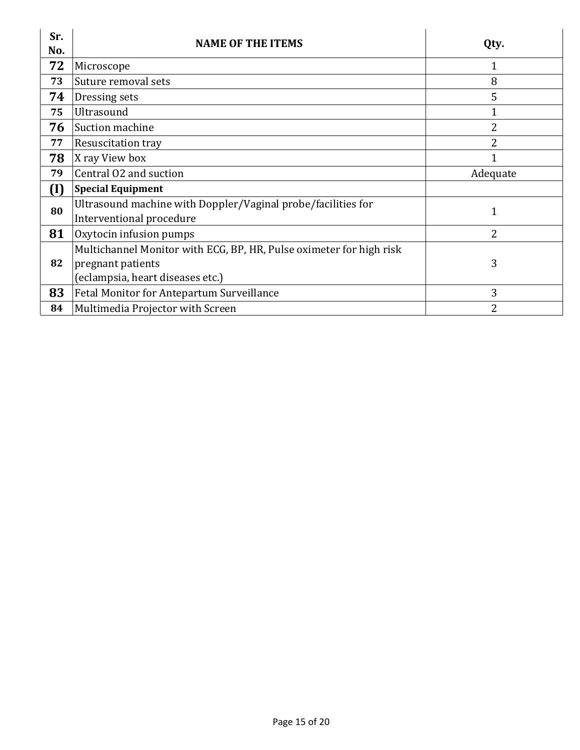| Sr.<br>No. | <b>NAME OF THE ITEMS</b>                                                                 | Qty.           |
|------------|------------------------------------------------------------------------------------------|----------------|
| 72         | Microscope                                                                               |                |
| 73         | Suture removal sets                                                                      | 8              |
| 74         | Dressing sets                                                                            | 5              |
| 75         | Ultrasound                                                                               |                |
| 76         | Suction machine                                                                          | 2              |
| 77         | Resuscitation tray                                                                       | 2              |
| 78         | X ray View box                                                                           |                |
| 79         | Central O2 and suction                                                                   | Adequate       |
| (I)        | <b>Special Equipment</b>                                                                 |                |
| 80         | Ultrasound machine with Doppler/Vaginal probe/facilities for<br>Interventional procedure |                |
| 81         | Oxytocin infusion pumps                                                                  | $\overline{2}$ |
|            | Multichannel Monitor with ECG, BP, HR, Pulse oximeter for high risk                      |                |
| 82         | pregnant patients                                                                        | 3              |
|            | (eclampsia, heart diseases etc.)                                                         |                |
| 83         | Fetal Monitor for Antepartum Surveillance                                                | 3              |
| 84         | Multimedia Projector with Screen                                                         | $\mathcal{L}$  |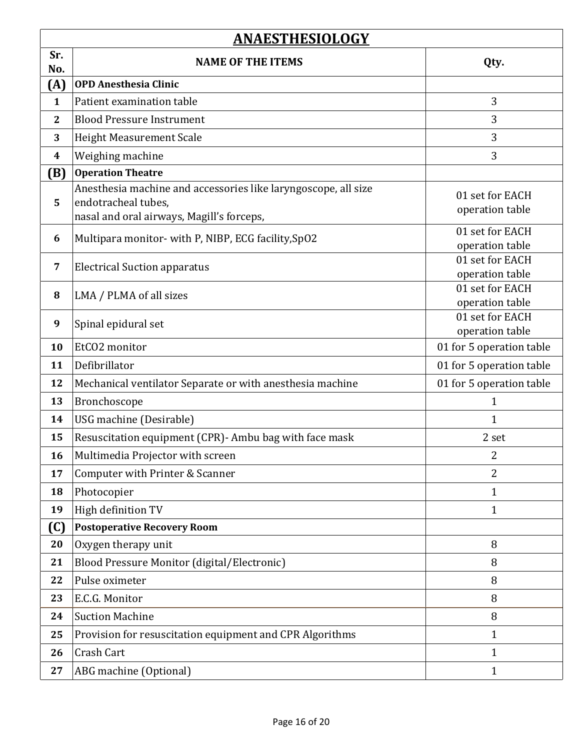|                | <b>ANAESTHESIOLOGY</b>                                         |                                    |
|----------------|----------------------------------------------------------------|------------------------------------|
| Sr.            | <b>NAME OF THE ITEMS</b>                                       | Qty.                               |
| No.<br>(A)     | <b>OPD Anesthesia Clinic</b>                                   |                                    |
| $\mathbf{1}$   | Patient examination table                                      | 3                                  |
| $\mathbf{2}$   | <b>Blood Pressure Instrument</b>                               | 3                                  |
| 3              | <b>Height Measurement Scale</b>                                | 3                                  |
| 4              | Weighing machine                                               | 3                                  |
| (B)            | <b>Operation Theatre</b>                                       |                                    |
|                | Anesthesia machine and accessories like laryngoscope, all size |                                    |
| 5              | endotracheal tubes,                                            | 01 set for EACH<br>operation table |
|                | nasal and oral airways, Magill's forceps,                      |                                    |
| 6              | Multipara monitor- with P, NIBP, ECG facility, SpO2            | 01 set for EACH<br>operation table |
|                |                                                                | 01 set for EACH                    |
| 7              | <b>Electrical Suction apparatus</b>                            | operation table                    |
| 8              | LMA / PLMA of all sizes                                        | 01 set for EACH                    |
|                |                                                                | operation table                    |
| 9              | Spinal epidural set                                            | 01 set for EACH<br>operation table |
| 10             | EtCO2 monitor                                                  | 01 for 5 operation table           |
| 11             | Defibrillator                                                  | 01 for 5 operation table           |
| 12             | Mechanical ventilator Separate or with anesthesia machine      | 01 for 5 operation table           |
| 13             | Bronchoscope                                                   | $\mathbf 1$                        |
| 14             | USG machine (Desirable)                                        | $\mathbf{1}$                       |
| 15             | Resuscitation equipment (CPR) - Ambu bag with face mask        | 2 set                              |
| 16             | Multimedia Projector with screen                               | 2                                  |
| 17             | Computer with Printer & Scanner                                | $\overline{2}$                     |
| 18             | Photocopier                                                    | $\mathbf{1}$                       |
| 19             | High definition TV                                             | 1                                  |
| $(\mathbf{C})$ | <b>Postoperative Recovery Room</b>                             |                                    |
| 20             | Oxygen therapy unit                                            | 8                                  |
| 21             | Blood Pressure Monitor (digital/Electronic)                    | 8                                  |
| 22             | Pulse oximeter                                                 | 8                                  |
| 23             | E.C.G. Monitor                                                 | 8                                  |
| 24             | <b>Suction Machine</b>                                         | 8                                  |
| 25             | Provision for resuscitation equipment and CPR Algorithms       | 1                                  |
| 26             | Crash Cart                                                     | 1                                  |
| 27             | ABG machine (Optional)                                         | 1                                  |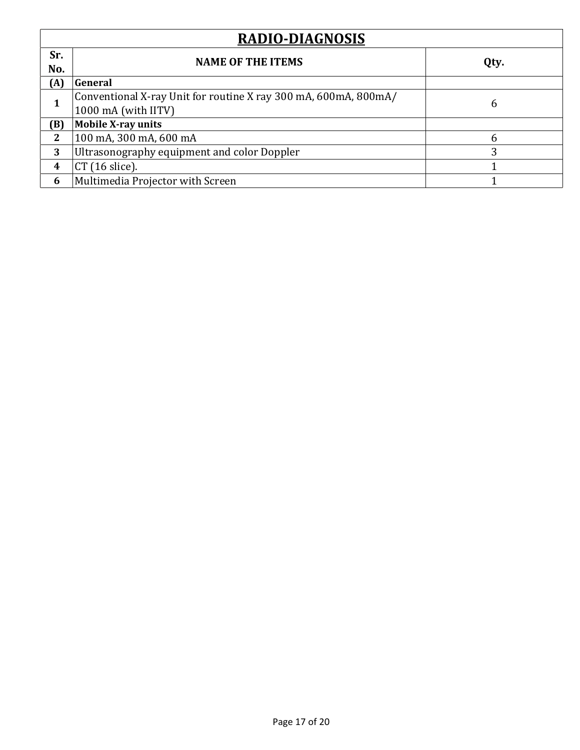| <b>RADIO-DIAGNOSIS</b> |                                                                                        |      |
|------------------------|----------------------------------------------------------------------------------------|------|
| Sr.<br>No.             | <b>NAME OF THE ITEMS</b>                                                               | Qty. |
| (A)                    | General                                                                                |      |
| 1                      | Conventional X-ray Unit for routine X ray 300 mA, 600mA, 800mA/<br>1000 mA (with IITV) | b    |
| (B)                    | <b>Mobile X-ray units</b>                                                              |      |
| 2                      | 100 mA, 300 mA, 600 mA                                                                 | h    |
| 3                      | Ultrasonography equipment and color Doppler                                            | 3    |
| $\boldsymbol{4}$       | $CT(16$ slice).                                                                        |      |
| 6                      | Multimedia Projector with Screen                                                       |      |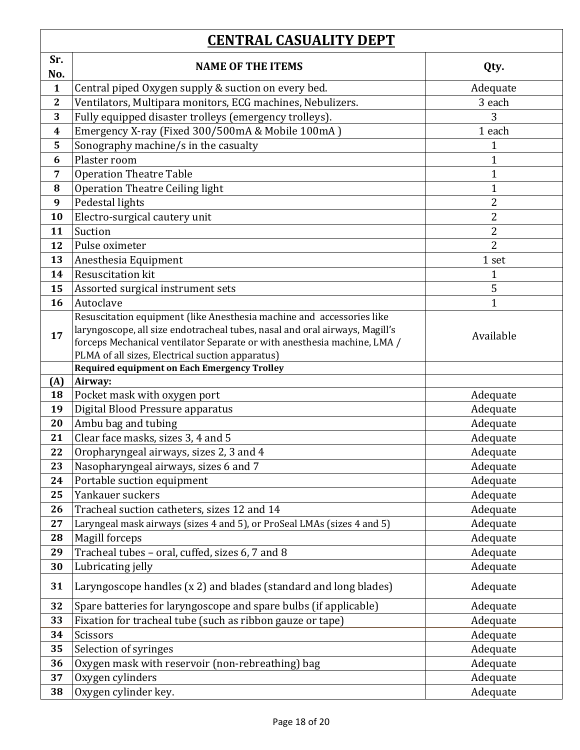## **CENTRAL CASUALITY DEPT**

| <u>личний слубийн тригт</u> |                                                                                                         |                |
|-----------------------------|---------------------------------------------------------------------------------------------------------|----------------|
| Sr.<br>No.                  | <b>NAME OF THE ITEMS</b>                                                                                | Qty.           |
| $\mathbf{1}$                | Central piped Oxygen supply & suction on every bed.                                                     | Adequate       |
| $\mathbf{2}$                | Ventilators, Multipara monitors, ECG machines, Nebulizers.                                              | 3 each         |
| 3                           | Fully equipped disaster trolleys (emergency trolleys).                                                  | 3              |
| $\boldsymbol{4}$            | Emergency X-ray (Fixed 300/500mA & Mobile 100mA)                                                        | 1 each         |
| 5                           | Sonography machine/s in the casualty                                                                    | 1              |
| 6                           | Plaster room                                                                                            | 1              |
| 7                           | <b>Operation Theatre Table</b>                                                                          | $\mathbf{1}$   |
| 8                           | <b>Operation Theatre Ceiling light</b>                                                                  | $\mathbf{1}$   |
| 9                           | Pedestal lights                                                                                         | $\overline{2}$ |
| 10                          | Electro-surgical cautery unit                                                                           | 2              |
| 11                          | Suction                                                                                                 | $\overline{2}$ |
| 12                          | Pulse oximeter                                                                                          | $\overline{2}$ |
| 13                          | Anesthesia Equipment                                                                                    | 1 set          |
| 14                          | <b>Resuscitation kit</b>                                                                                | 1              |
| 15                          | Assorted surgical instrument sets                                                                       | 5              |
| 16                          | Autoclave                                                                                               | 1              |
|                             | Resuscitation equipment (like Anesthesia machine and accessories like                                   |                |
| 17                          | laryngoscope, all size endotracheal tubes, nasal and oral airways, Magill's                             | Available      |
|                             | forceps Mechanical ventilator Separate or with anesthesia machine, LMA /                                |                |
|                             | PLMA of all sizes, Electrical suction apparatus)<br><b>Required equipment on Each Emergency Trolley</b> |                |
| (A)                         | Airway:                                                                                                 |                |
| 18                          | Pocket mask with oxygen port                                                                            | Adequate       |
| 19                          | Digital Blood Pressure apparatus                                                                        | Adequate       |
| 20                          | Ambu bag and tubing                                                                                     | Adequate       |
| 21                          | Clear face masks, sizes 3, 4 and 5                                                                      | Adequate       |
| 22                          | Oropharyngeal airways, sizes 2, 3 and 4                                                                 | Adequate       |
| 23                          | Nasopharyngeal airways, sizes 6 and 7                                                                   | Adequate       |
| 24                          | Portable suction equipment                                                                              | Adequate       |
| 25                          | Yankauer suckers                                                                                        | Adequate       |
| 26                          | Tracheal suction catheters, sizes 12 and 14                                                             | Adequate       |
| 27                          | Laryngeal mask airways (sizes 4 and 5), or ProSeal LMAs (sizes 4 and 5)                                 | Adequate       |
| 28                          | Magill forceps                                                                                          | Adequate       |
| 29                          | Tracheal tubes - oral, cuffed, sizes 6, 7 and 8                                                         | Adequate       |
| 30                          | Lubricating jelly                                                                                       | Adequate       |
| 31                          | Laryngoscope handles (x 2) and blades (standard and long blades)                                        | Adequate       |
| 32                          | Spare batteries for laryngoscope and spare bulbs (if applicable)                                        | Adequate       |
| 33                          | Fixation for tracheal tube (such as ribbon gauze or tape)                                               | Adequate       |
| 34                          | Scissors                                                                                                | Adequate       |
| 35                          | Selection of syringes                                                                                   | Adequate       |
| 36                          | Oxygen mask with reservoir (non-rebreathing) bag                                                        | Adequate       |
| 37                          | Oxygen cylinders                                                                                        | Adequate       |
| 38                          | Oxygen cylinder key.                                                                                    | Adequate       |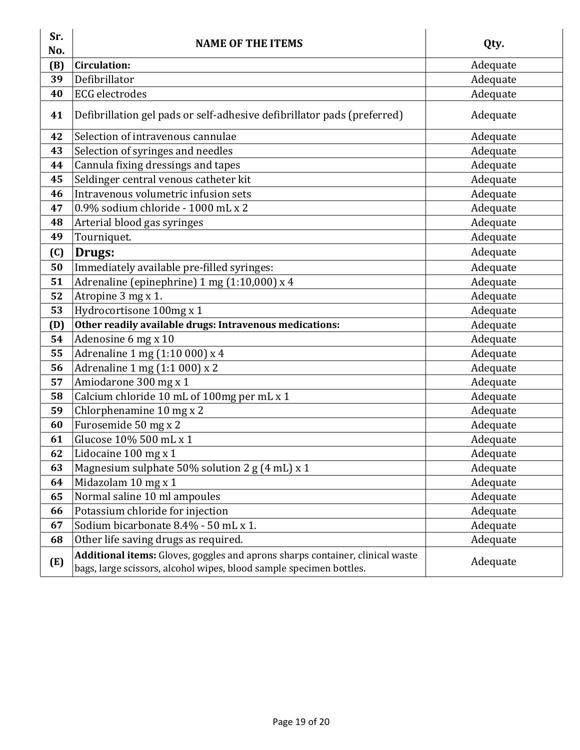| Sr.<br>No.        | <b>NAME OF THE ITEMS</b>                                                                                                                             | Qty.     |
|-------------------|------------------------------------------------------------------------------------------------------------------------------------------------------|----------|
| (B)               | <b>Circulation:</b>                                                                                                                                  | Adequate |
| 39                | Defibrillator                                                                                                                                        | Adequate |
| 40                | <b>ECG</b> electrodes                                                                                                                                | Adequate |
| 41                | Defibrillation gel pads or self-adhesive defibrillator pads (preferred)                                                                              | Adequate |
| 42                | Selection of intravenous cannulae                                                                                                                    | Adequate |
| 43                | Selection of syringes and needles                                                                                                                    | Adequate |
| 44                | Cannula fixing dressings and tapes                                                                                                                   | Adequate |
| 45                | Seldinger central venous catheter kit                                                                                                                | Adequate |
| 46                | Intravenous volumetric infusion sets                                                                                                                 | Adequate |
| 47                | 0.9% sodium chloride - 1000 mL x 2                                                                                                                   | Adequate |
| 48                | Arterial blood gas syringes                                                                                                                          | Adequate |
| 49                | Tourniquet.                                                                                                                                          | Adequate |
| $\left( 0\right)$ | Drugs:                                                                                                                                               | Adequate |
| 50                | Immediately available pre-filled syringes:                                                                                                           | Adequate |
| 51                | Adrenaline (epinephrine) 1 mg (1:10,000) x 4                                                                                                         | Adequate |
| 52                | Atropine 3 mg x 1.                                                                                                                                   | Adequate |
| 53                | Hydrocortisone 100mg x 1                                                                                                                             | Adequate |
| (D)               | Other readily available drugs: Intravenous medications:                                                                                              | Adequate |
| 54                | Adenosine 6 mg x 10                                                                                                                                  | Adequate |
| 55                | Adrenaline 1 mg (1:10 000) x 4                                                                                                                       | Adequate |
| 56                | Adrenaline 1 mg (1:1 000) x 2                                                                                                                        | Adequate |
| 57                | Amiodarone 300 mg x 1                                                                                                                                | Adequate |
| 58                | Calcium chloride 10 mL of 100mg per mL x 1                                                                                                           | Adequate |
| 59                | Chlorphenamine 10 mg x 2                                                                                                                             | Adequate |
| 60                | Furosemide 50 mg x 2                                                                                                                                 | Adequate |
| 61                | Glucose 10% 500 mL x 1                                                                                                                               | Adequate |
| 62                | Lidocaine 100 mg x 1                                                                                                                                 | Adequate |
| 63                | Magnesium sulphate 50% solution 2 g (4 mL) x 1                                                                                                       | Adequate |
| 64                | Midazolam 10 mg x 1                                                                                                                                  | Adequate |
| 65                | Normal saline 10 ml ampoules                                                                                                                         | Adequate |
| 66                | Potassium chloride for injection                                                                                                                     | Adequate |
| 67                | Sodium bicarbonate 8.4% - 50 mL x 1.                                                                                                                 | Adequate |
| 68                | Other life saving drugs as required.                                                                                                                 | Adequate |
| (E)               | Additional items: Gloves, goggles and aprons sharps container, clinical waste<br>bags, large scissors, alcohol wipes, blood sample specimen bottles. | Adequate |